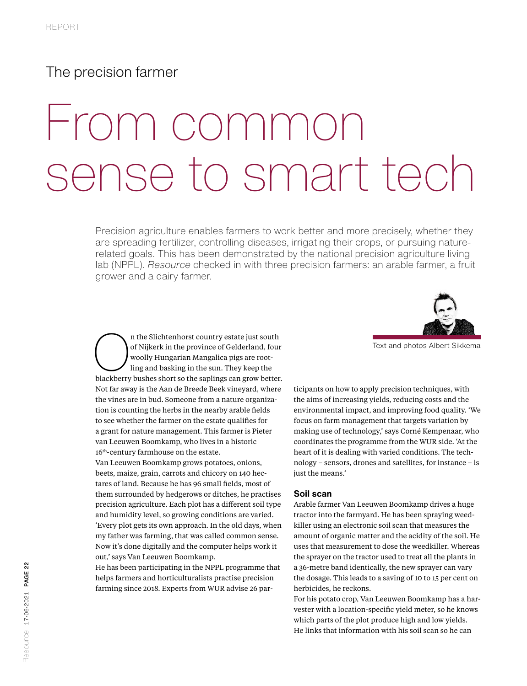## The precision farmer

# From common sense to smart tech

Precision agriculture enables farmers to work better and more precisely, whether they are spreading fertilizer, controlling diseases, irrigating their crops, or pursuing naturerelated goals. This has been demonstrated by the national precision agriculture living lab (NPPL). *Resource* checked in with three precision farmers: an arable farmer, a fruit grower and a dairy farmer.



Text and photos Albert Sikkema<br>
Text and photos Albert Sikkema<br>
Woolly Hungarian Mangalica pigs are root-<br>
ling and basking in the sun. They keep the<br>
blackberry bushes short so the saplings can grow better. of Nijkerk in the province of Gelderland, four woolly Hungarian Mangalica pigs are rootling and basking in the sun. They keep the blackberry bushes short so the saplings can grow better. Not far away is the Aan de Breede Beek vineyard, where the vines are in bud. Someone from a nature organization is counting the herbs in the nearby arable fields to see whether the farmer on the estate qualifies for a grant for nature management. This farmer is Pieter van Leeuwen Boomkamp, who lives in a historic 16<sup>th</sup>-century farmhouse on the estate. Van Leeuwen Boomkamp grows potatoes, onions, beets, maize, grain, carrots and chicory on 140 hectares of land. Because he has 96 small fields, most of them surrounded by hedgerows or ditches, he practises precision agriculture. Each plot has a different soil type and humidity level, so growing conditions are varied. 'Every plot gets its own approach. In the old days, when my father was farming, that was called common sense. Now it's done digitally and the computer helps work it out,' says Van Leeuwen Boomkamp. He has been participating in the NPPL programme that

helps farmers and horticulturalists practise precision farming since 2018. Experts from WUR advise 26 participants on how to apply precision techniques, with the aims of increasing yields, reducing costs and the environmental impact, and improving food quality. 'We focus on farm management that targets variation by making use of technology,' says Corné Kempenaar, who coordinates the programme from the WUR side. 'At the heart of it is dealing with varied conditions. The technology – sensors, drones and satellites, for instance – is just the means.'

#### **Soil scan**

Arable farmer Van Leeuwen Boomkamp drives a huge tractor into the farmyard. He has been spraying weedkiller using an electronic soil scan that measures the amount of organic matter and the acidity of the soil. He uses that measurement to dose the weedkiller. Whereas the sprayer on the tractor used to treat all the plants in a 36-metre band identically, the new sprayer can vary the dosage. This leads to a saving of 10 to 15 per cent on herbicides, he reckons.

For his potato crop, Van Leeuwen Boomkamp has a harvester with a location-specific yield meter, so he knows which parts of the plot produce high and low yields. He links that information with his soil scan so he can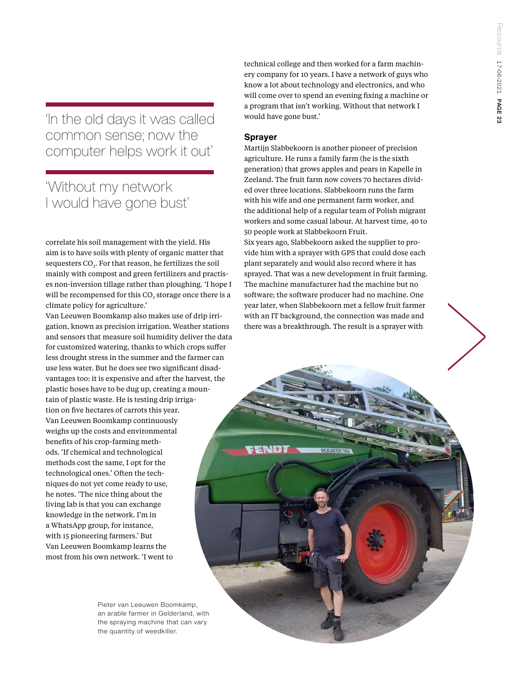'In the old days it was called common sense; now the computer helps work it out'

# 'Without my network I would have gone bust'

correlate his soil management with the yield. His aim is to have soils with plenty of organic matter that sequesters CO<sub>2</sub>. For that reason, he fertilizes the soil mainly with compost and green fertilizers and practises non-inversion tillage rather than ploughing. 'I hope I will be recompensed for this CO<sub>2</sub> storage once there is a climate policy for agriculture.'

Van Leeuwen Boomkamp also makes use of drip irrigation, known as precision irrigation. Weather stations and sensors that measure soil humidity deliver the data for customized watering, thanks to which crops suffer less drought stress in the summer and the farmer can use less water. But he does see two significant disadvantages too: it is expensive and after the harvest, the plastic hoses have to be dug up, creating a mountain of plastic waste. He is testing drip irrigation on five hectares of carrots this year. Van Leeuwen Boomkamp continuously weighs up the costs and environmental benefits of his crop-farming methods. 'If chemical and technological methods cost the same, I opt for the technological ones.' Often the techniques do not yet come ready to use, he notes. 'The nice thing about the living lab is that you can exchange knowledge in the network. I'm in a WhatsApp group, for instance, with 15 pioneering farmers.' But Van Leeuwen Boomkamp learns the most from his own network. 'I went to

> Pieter van Leeuwen Boomkamp, an arable farmer in Gelderland, with the spraying machine that can vary the quantity of weedkiller.

technical college and then worked for a farm machinery company for 10 years. I have a network of guys who know a lot about technology and electronics, and who will come over to spend an evening fixing a machine or a program that isn't working. Without that network I would have gone bust.'

## **Sprayer**

Martijn Slabbekoorn is another pioneer of precision agriculture. He runs a family farm (he is the sixth generation) that grows apples and pears in Kapelle in Zeeland. The fruit farm now covers 70 hectares divided over three locations. Slabbekoorn runs the farm with his wife and one permanent farm worker, and the additional help of a regular team of Polish migrant workers and some casual labour. At harvest time, 40 to 50 people work at Slabbekoorn Fruit.

Six years ago, Slabbekoorn asked the supplier to provide him with a sprayer with GPS that could dose each plant separately and would also record where it has sprayed. That was a new development in fruit farming. The machine manufacturer had the machine but no software; the software producer had no machine. One year later, when Slabbekoorn met a fellow fruit farmer with an IT background, the connection was made and there was a breakthrough. The result is a sprayer with

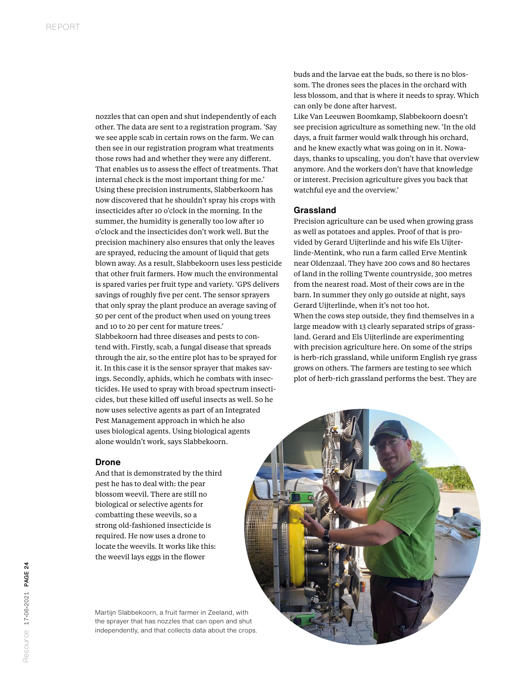nozzles that can open and shut independently of each other. The data are sent to a registration program. 'Say we see apple scab in certain rows on the farm. We can then see in our registration program what treatments those rows had and whether they were any different. That enables us to assess the effect of treatments. That internal check is the most important thing for me.' Using these precision instruments, Slabberkoorn has now discovered that he shouldn't spray his crops with insecticides after 10 o'clock in the morning. In the summer, the humidity is generally too low after 10 o'clock and the insecticides don't work well. But the precision machinery also ensures that only the leaves are sprayed, reducing the amount of liquid that gets blown away. As a result, Slabbekoorn uses less pesticide that other fruit farmers. How much the environmental is spared varies per fruit type and variety. 'GPS delivers savings of roughly five per cent. The sensor sprayers that only spray the plant produce an average saving of 50 per cent of the product when used on young trees and 10 to 20 per cent for mature trees.' Slabbekoorn had three diseases and pests to contend with. Firstly, scab, a fungal disease that spreads through the air, so the entire plot has to be sprayed for it. In this case it is the sensor sprayer that makes savings. Secondly, aphids, which he combats with insecticides. He used to spray with broad spectrum insecticides, but these killed off useful insects as well. So he now uses selective agents as part of an Integrated

Pest Management approach in which he also uses biological agents. Using biological agents alone wouldn't work, says Slabbekoorn.

### **Drone**

And that is demonstrated by the third pest he has to deal with: the pear blossom weevil. There are still no biological or selective agents for combatting these weevils, so a strong old-fashioned insecticide is required. He now uses a drone to locate the weevils. It works like this: the weevil lays eggs in the flower

Martijn Slabbekoorn, a fruit farmer in Zeeland, with the sprayer that has nozzles that can open and shut independently, and that collects data about the crops. buds and the larvae eat the buds, so there is no blossom. The drones sees the places in the orchard with less blossom, and that is where it needs to spray. Which can only be done after harvest.

Like Van Leeuwen Boomkamp, Slabbekoorn doesn't see precision agriculture as something new. 'In the old days, a fruit farmer would walk through his orchard, and he knew exactly what was going on in it. Nowadays, thanks to upscaling, you don't have that overview anymore. And the workers don't have that knowledge or interest. Precision agriculture gives you back that watchful eye and the overview.'

#### **Grassland**

Precision agriculture can be used when growing grass as well as potatoes and apples. Proof of that is provided by Gerard Uijterlinde and his wife Els Uijterlinde-Mentink, who run a farm called Erve Mentink near Oldenzaal. They have 200 cows and 80 hectares of land in the rolling Twente countryside, 300 metres from the nearest road. Most of their cows are in the barn. In summer they only go outside at night, says Gerard Uijterlinde, when it's not too hot. When the cows step outside, they find themselves in a large meadow with 13 clearly separated strips of grassland. Gerard and Els Uijterlinde are experimenting with precision agriculture here. On some of the strips is herb-rich grassland, while uniform English rye grass grows on others. The farmers are testing to see which plot of herb-rich grassland performs the best. They are